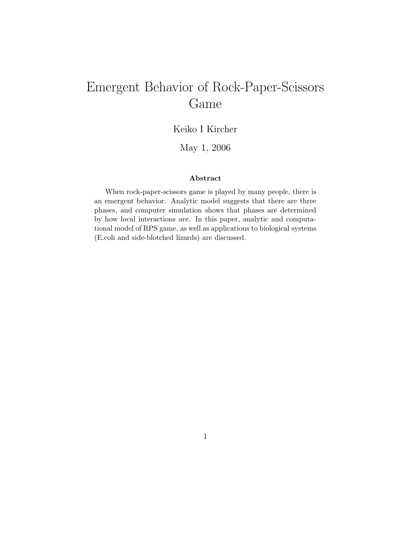# Emergent Behavior of Rock-Paper-Scissors Game

## Keiko I Kircher

### May 1, 2006

#### Abstract

When rock-paper-scissors game is played by many people, there is an emergent behavior. Analytic model suggests that there are three phases, and computer simulation shows that phases are determined by how local interactions are. In this paper, analytic and computational model of RPS game, as well as applications to biological systems (E.coli and side-blotched lizards) are discussed.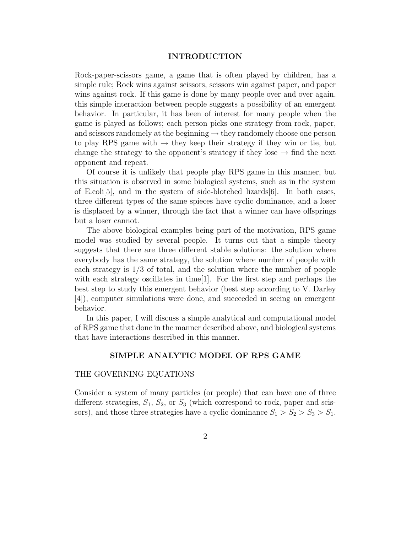#### INTRODUCTION

Rock-paper-scissors game, a game that is often played by children, has a simple rule; Rock wins against scissors, scissors win against paper, and paper wins against rock. If this game is done by many people over and over again, this simple interaction between people suggests a possibility of an emergent behavior. In particular, it has been of interest for many people when the game is played as follows; each person picks one strategy from rock, paper, and scissors randomely at the beginning  $\rightarrow$  they randomely choose one person to play RPS game with  $\rightarrow$  they keep their strategy if they win or tie, but change the strategy to the opponent's strategy if they lose  $\rightarrow$  find the next opponent and repeat.

Of course it is unlikely that people play RPS game in this manner, but this situation is observed in some biological systems, such as in the system of E.coli<sup>[5]</sup>, and in the system of side-blotched lizards $[6]$ . In both cases, three different types of the same spieces have cyclic dominance, and a loser is displaced by a winner, through the fact that a winner can have offsprings but a loser cannot.

The above biological examples being part of the motivation, RPS game model was studied by several people. It turns out that a simple theory suggests that there are three different stable solutions: the solution where everybody has the same strategy, the solution where number of people with each strategy is 1/3 of total, and the solution where the number of people with each strategy oscillates in time[1]. For the first step and perhaps the best step to study this emergent behavior (best step according to V. Darley [4]), computer simulations were done, and succeeded in seeing an emergent behavior.

In this paper, I will discuss a simple analytical and computational model of RPS game that done in the manner described above, and biological systems that have interactions described in this manner.

#### SIMPLE ANALYTIC MODEL OF RPS GAME

#### THE GOVERNING EQUATIONS

Consider a system of many particles (or people) that can have one of three different strategies,  $S_1$ ,  $S_2$ , or  $S_3$  (which correspond to rock, paper and scissors), and those three strategies have a cyclic dominance  $S_1 > S_2 > S_3 > S_1$ .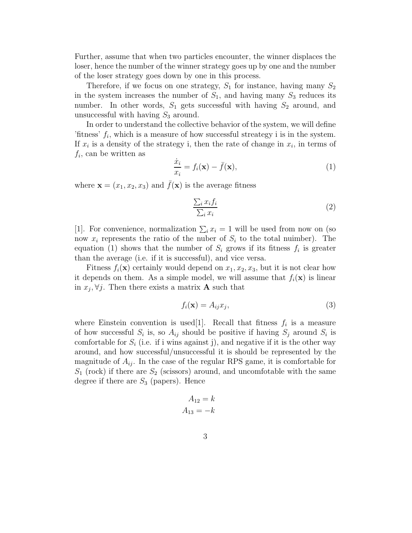Further, assume that when two particles encounter, the winner displaces the loser, hence the number of the winner strategy goes up by one and the number of the loser strategy goes down by one in this process.

Therefore, if we focus on one strategy,  $S_1$  for instance, having many  $S_2$ in the system increases the number of  $S_1$ , and having many  $S_3$  reduces its number. In other words,  $S_1$  gets successful with having  $S_2$  around, and unsuccessful with having  $S_3$  around.

In order to understand the collective behavior of the system, we will define 'fitness'  $f_i$ , which is a measure of how successful streategy i is in the system. If  $x_i$  is a density of the strategy i, then the rate of change in  $x_i$ , in terms of  $f_i$ , can be written as

$$
\frac{\dot{x}_i}{x_i} = f_i(\mathbf{x}) - \bar{f}(\mathbf{x}),\tag{1}
$$

where  $\mathbf{x} = (x_1, x_2, x_3)$  and  $\bar{f}(\mathbf{x})$  is the average fitness

$$
\frac{\sum_{i} x_{i} f_{i}}{\sum_{i} x_{i}} \tag{2}
$$

[1]. For convenience, normalization  $\sum_i x_i = 1$  will be used from now on (so now  $x_i$  represents the ratio of the nuber of  $S_i$  to the total nuimber). The equation (1) shows that the number of  $S_i$  grows if its fitness  $f_i$  is greater than the average (i.e. if it is successful), and vice versa.

Fitness  $f_i(\mathbf{x})$  certainly would depend on  $x_1, x_2, x_3$ , but it is not clear how it depends on them. As a simple model, we will assume that  $f_i(\mathbf{x})$  is linear in  $x_j, \forall j$ . Then there exists a matrix **A** such that

$$
f_i(\mathbf{x}) = A_{ij} x_j,\tag{3}
$$

where Einstein convention is used[1]. Recall that fitness  $f_i$  is a measure of how successful  $S_i$  is, so  $A_{ij}$  should be positive if having  $S_j$  around  $S_i$  is comfortable for  $S_i$  (i.e. if i wins against j), and negative if it is the other way around, and how successful/unsuccessful it is should be represented by the magnitude of  $A_{ij}$ . In the case of the regular RPS game, it is comfortable for  $S_1$  (rock) if there are  $S_2$  (scissors) around, and uncomfotable with the same degree if there are  $S_3$  (papers). Hence

$$
A_{12} = k
$$

$$
A_{13} = -k
$$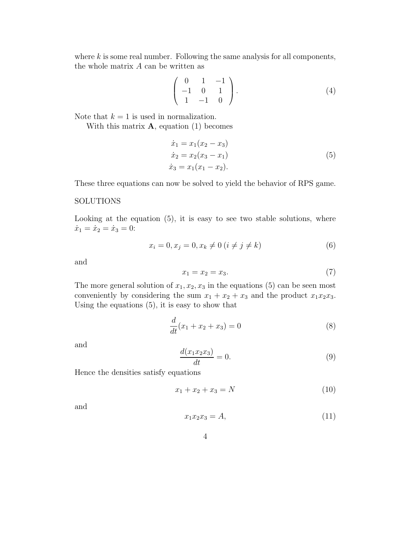where  $k$  is some real number. Following the same analysis for all components, the whole matrix A can be written as

$$
\left(\begin{array}{ccc} 0 & 1 & -1 \\ -1 & 0 & 1 \\ 1 & -1 & 0 \end{array}\right). \tag{4}
$$

Note that  $k = 1$  is used in normalization.

With this matrix  $\bf{A}$ , equation (1) becomes

$$
\begin{aligned}\n\dot{x}_1 &= x_1(x_2 - x_3) \\
\dot{x}_2 &= x_2(x_3 - x_1) \\
\dot{x}_3 &= x_1(x_1 - x_2).\n\end{aligned} \tag{5}
$$

These three equations can now be solved to yield the behavior of RPS game.

#### SOLUTIONS

Looking at the equation (5), it is easy to see two stable solutions, where  $\dot{x}_1 = \dot{x}_2 = \dot{x}_3 = 0:$ 

$$
x_i = 0, x_j = 0, x_k \neq 0 \ (i \neq j \neq k)
$$
 (6)

and

$$
x_1 = x_2 = x_3. \t\t(7)
$$

The more general solution of  $x_1, x_2, x_3$  in the equations (5) can be seen most conveniently by considering the sum  $x_1 + x_2 + x_3$  and the product  $x_1x_2x_3$ . Using the equations (5), it is easy to show that

$$
\frac{d}{dt}(x_1 + x_2 + x_3) = 0\tag{8}
$$

and

$$
\frac{d(x_1x_2x_3)}{dt} = 0.\t\t(9)
$$

Hence the densities satisfy equations

$$
x_1 + x_2 + x_3 = N \tag{10}
$$

and

$$
x_1 x_2 x_3 = A,\tag{11}
$$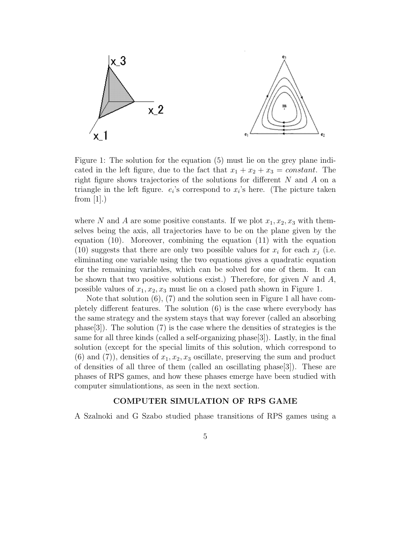

Figure 1: The solution for the equation (5) must lie on the grey plane indicated in the left figure, due to the fact that  $x_1 + x_2 + x_3 = constant$ . The right figure shows trajectories of the solutions for different N and A on a triangle in the left figure.  $e_i$ 's correspond to  $x_i$ 's here. (The picture taken from  $[1]$ .)

where N and A are some positive constants. If we plot  $x_1, x_2, x_3$  with themselves being the axis, all trajectories have to be on the plane given by the equation (10). Moreover, combining the equation (11) with the equation (10) suggests that there are only two possible values for  $x_i$  for each  $x_j$  (i.e. eliminating one variable using the two equations gives a quadratic equation for the remaining variables, which can be solved for one of them. It can be shown that two positive solutions exist.) Therefore, for given N and  $A$ , possible values of  $x_1, x_2, x_3$  must lie on a closed path shown in Figure 1.

Note that solution (6), (7) and the solution seen in Figure 1 all have completely different features. The solution (6) is the case where everybody has the same strategy and the system stays that way forever (called an absorbing phase[3]). The solution  $(7)$  is the case where the densities of strategies is the same for all three kinds (called a self-organizing phase[3]). Lastly, in the final solution (except for the special limits of this solution, which correspond to  $(6)$  and  $(7)$ , densities of  $x_1, x_2, x_3$  oscillate, preserving the sum and product of densities of all three of them (called an oscillating phase[3]). These are phases of RPS games, and how these phases emerge have been studied with computer simulationtions, as seen in the next section.

#### COMPUTER SIMULATION OF RPS GAME

A Szalnoki and G Szabo studied phase transitions of RPS games using a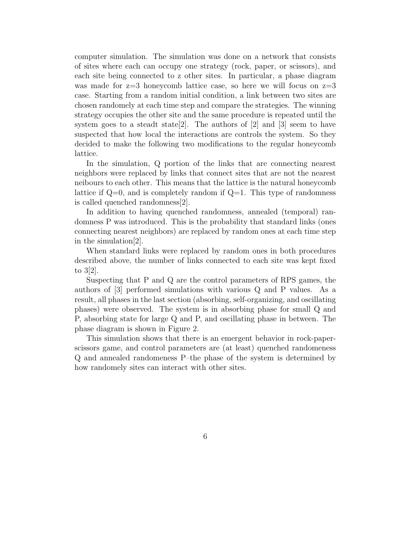computer simulation. The simulation was done on a network that consists of sites where each can occupy one strategy (rock, paper, or scissors), and each site being connected to z other sites. In particular, a phase diagram was made for  $z=3$  honeycomb lattice case, so here we will focus on  $z=3$ case. Starting from a random initial condition, a link between two sites are chosen randomely at each time step and compare the strategies. The winning strategy occupies the other site and the same procedure is repeated until the system goes to a steadt state [2]. The authors of [2] and [3] seem to have suspected that how local the interactions are controls the system. So they decided to make the following two modifications to the regular honeycomb lattice.

In the simulation, Q portion of the links that are connecting nearest neighbors were replaced by links that connect sites that are not the nearest neibours to each other. This means that the lattice is the natural honeycomb lattice if  $Q=0$ , and is completely random if  $Q=1$ . This type of randomness is called quenched randomness[2].

In addition to having quenched randomness, annealed (temporal) randomness P was introduced. This is the probability that standard links (ones connecting nearest neighbors) are replaced by random ones at each time step in the simulation[2].

When standard links were replaced by random ones in both procedures described above, the number of links connected to each site was kept fixed to 3[2].

Suspecting that P and Q are the control parameters of RPS games, the authors of [3] performed simulations with various Q and P values. As a result, all phases in the last section (absorbing, self-organizing, and oscillating phases) were observed. The system is in absorbing phase for small Q and P, absorbing state for large Q and P, and oscillating phase in between. The phase diagram is shown in Figure 2.

This simulation shows that there is an emergent behavior in rock-paperscissors game, and control parameters are (at least) quenched randomeness Q and annealed randomeness P–the phase of the system is determined by how randomely sites can interact with other sites.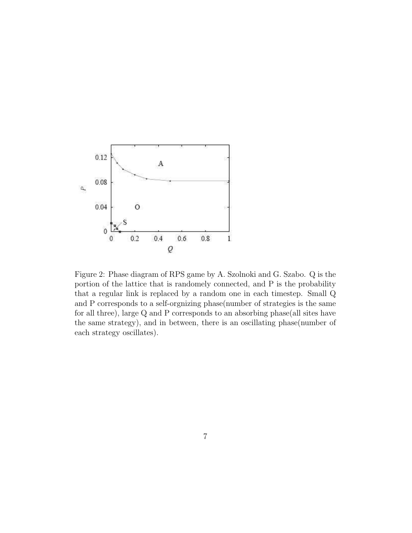

Figure 2: Phase diagram of RPS game by A. Szolnoki and G. Szabo. Q is the portion of the lattice that is randomely connected, and P is the probability that a regular link is replaced by a random one in each timestep. Small Q and P corresponds to a self-orgnizing phase(number of strategies is the same for all three), large Q and P corresponds to an absorbing phase(all sites have the same strategy), and in between, there is an oscillating phase(number of each strategy oscillates).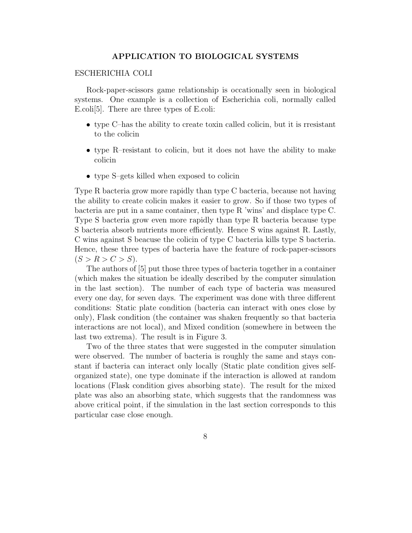#### APPLICATION TO BIOLOGICAL SYSTEMS

#### ESCHERICHIA COLI

Rock-paper-scissors game relationship is occationally seen in biological systems. One example is a collection of Escherichia coli, normally called E.coli[5]. There are three types of E.coli:

- type C–has the ability to create toxin called colicin, but it is rresistant to the colicin
- type R–resistant to colicin, but it does not have the ability to make colicin
- type S–gets killed when exposed to colicin

Type R bacteria grow more rapidly than type C bacteria, because not having the ability to create colicin makes it easier to grow. So if those two types of bacteria are put in a same container, then type R 'wins' and displace type C. Type S bacteria grow even more rapidly than type R bacteria because type S bacteria absorb nutrients more efficiently. Hence S wins against R. Lastly, C wins against S beacuse the colicin of type C bacteria kills type S bacteria. Hence, these three types of bacteria have the feature of rock-paper-scissors  $(S > R > C > S).$ 

The authors of [5] put those three types of bacteria together in a container (which makes the situation be ideally described by the computer simulation in the last section). The number of each type of bacteria was measured every one day, for seven days. The experiment was done with three different conditions: Static plate condition (bacteria can interact with ones close by only), Flask condition (the container was shaken frequently so that bacteria interactions are not local), and Mixed condition (somewhere in between the last two extrema). The result is in Figure 3.

Two of the three states that were suggested in the computer simulation were observed. The number of bacteria is roughly the same and stays constant if bacteria can interact only locally (Static plate condition gives selforganized state), one type dominate if the interaction is allowed at random locations (Flask condition gives absorbing state). The result for the mixed plate was also an absorbing state, which suggests that the randomness was above critical point, if the simulation in the last section corresponds to this particular case close enough.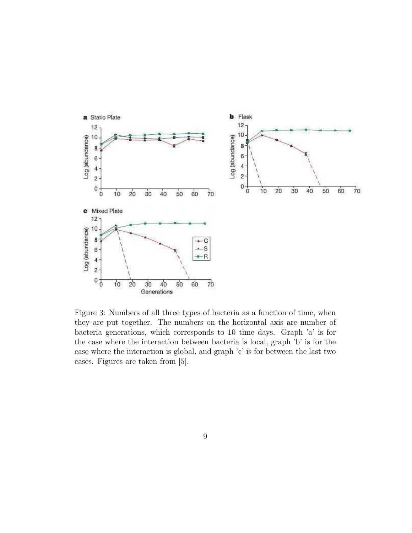

Figure 3: Numbers of all three types of bacteria as a function of time, when they are put together. The numbers on the horizontal axis are number of bacteria generations, which corresponds to 10 time days. Graph 'a' is for the case where the interaction between bacteria is local, graph 'b' is for the case where the interaction is global, and graph 'c' is for between the last two cases. Figures are taken from [5].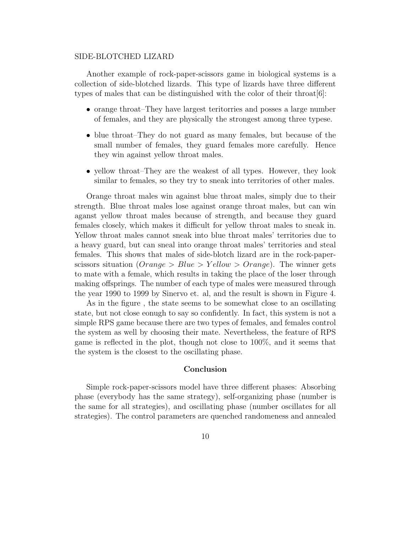#### SIDE-BLOTCHED LIZARD

Another example of rock-paper-scissors game in biological systems is a collection of side-blotched lizards. This type of lizards have three different types of males that can be distinguished with the color of their throat[6]:

- orange throat–They have largest teritorries and posses a large number of females, and they are physically the strongest among three typese.
- blue throat–They do not guard as many females, but because of the small number of females, they guard females more carefully. Hence they win against yellow throat males.
- yellow throat–They are the weakest of all types. However, they look similar to females, so they try to sneak into territories of other males.

Orange throat males win against blue throat males, simply due to their strength. Blue throat males lose against orange throat males, but can win aganst yellow throat males because of strength, and because they guard females closely, which makes it difficult for yellow throat males to sneak in. Yellow throat males cannot sneak into blue throat males' territories due to a heavy guard, but can sneal into orange throat males' territories and steal females. This shows that males of side-blotch lizard are in the rock-paperscissors situation ( $Orange > Blue > Yellow > Orange$ ). The winner gets to mate with a female, which results in taking the place of the loser through making offsprings. The number of each type of males were measured through the year 1990 to 1999 by Sinervo et. al, and the result is shown in Figure 4.

As in the figure , the state seems to be somewhat close to an oscillating state, but not close eonugh to say so confidently. In fact, this system is not a simple RPS game because there are two types of females, and females control the system as well by choosing their mate. Nevertheless, the feature of RPS game is reflected in the plot, though not close to 100%, and it seems that the system is the closest to the oscillating phase.

#### Conclusion

Simple rock-paper-scissors model have three different phases: Absorbing phase (everybody has the same strategy), self-organizing phase (number is the same for all strategies), and oscillating phase (number oscillates for all strategies). The control parameters are quenched randomeness and annealed